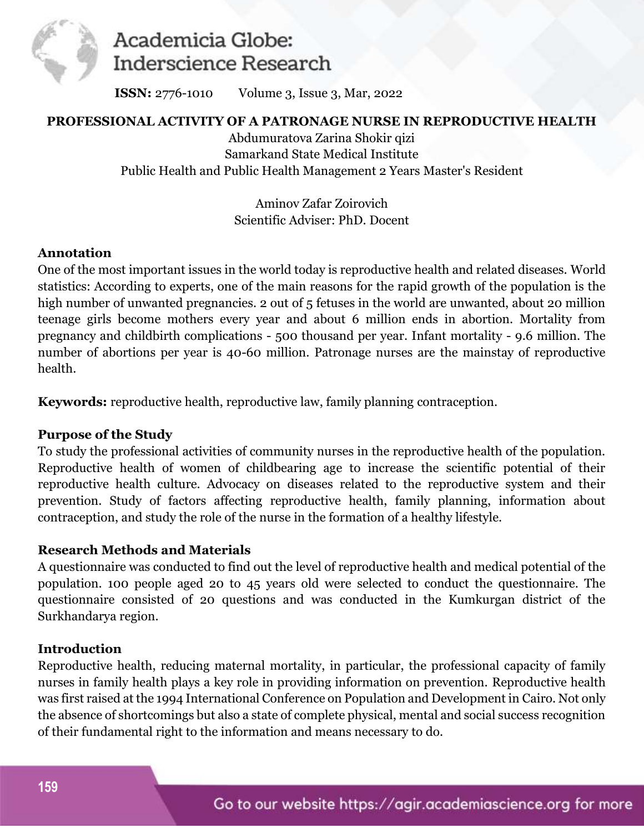

# Academicia Globe: **Inderscience Research**

**ISSN:** 2776-1010 Volume 3, Issue 3, Mar, 2022

## **PROFESSIONAL ACTIVITY OF A PATRONAGE NURSE IN REPRODUCTIVE HEALTH**

Abdumuratova Zarina Shokir qizi Samarkand State Medical Institute Public Health and Public Health Management 2 Years Master's Resident

> Aminov Zafar Zoirovich Scientific Adviser: PhD. Docent

## **Annotation**

One of the most important issues in the world today is reproductive health and related diseases. World statistics: According to experts, one of the main reasons for the rapid growth of the population is the high number of unwanted pregnancies. 2 out of 5 fetuses in the world are unwanted, about 20 million teenage girls become mothers every year and about 6 million ends in abortion. Mortality from pregnancy and childbirth complications - 500 thousand per year. Infant mortality - 9.6 million. The number of abortions per year is 40-60 million. Patronage nurses are the mainstay of reproductive health.

**Keywords:** reproductive health, reproductive law, family planning contraception.

#### **Purpose of the Study**

To study the professional activities of community nurses in the reproductive health of the population. Reproductive health of women of childbearing age to increase the scientific potential of their reproductive health culture. Advocacy on diseases related to the reproductive system and their prevention. Study of factors affecting reproductive health, family planning, information about contraception, and study the role of the nurse in the formation of a healthy lifestyle.

# **Research Methods and Materials**

A questionnaire was conducted to find out the level of reproductive health and medical potential of the population. 100 people aged 20 to 45 years old were selected to conduct the questionnaire. The questionnaire consisted of 20 questions and was conducted in the Kumkurgan district of the Surkhandarya region.

#### **Introduction**

Reproductive health, reducing maternal mortality, in particular, the professional capacity of family nurses in family health plays a key role in providing information on prevention. Reproductive health was first raised at the 1994 International Conference on Population and Development in Cairo. Not only the absence of shortcomings but also a state of complete physical, mental and social success recognition of their fundamental right to the information and means necessary to do.